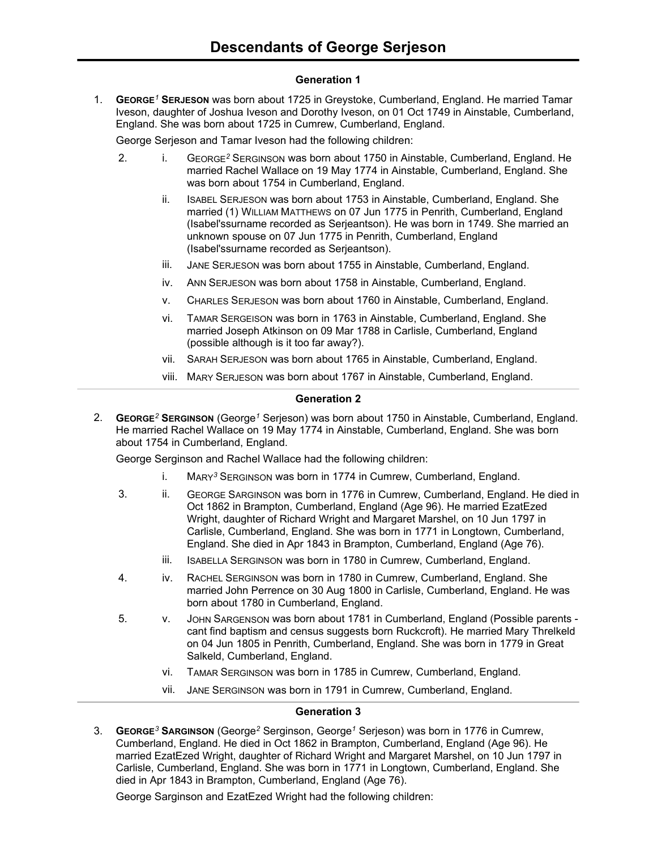# **Generation 1**

1. **GEORGE***<sup>1</sup>* **SERJESON** was born about 1725 in Greystoke, Cumberland, England. He married Tamar Iveson, daughter of Joshua Iveson and Dorothy Iveson, on 01 Oct 1749 in Ainstable, Cumberland, England. She was born about 1725 in Cumrew, Cumberland, England.

George Serjeson and Tamar Iveson had the following children:

- 2. i. GEORGE*<sup>2</sup>* SERGINSON was born about 1750 in Ainstable, Cumberland, England. He married Rachel Wallace on 19 May 1774 in Ainstable, Cumberland, England. She was born about 1754 in Cumberland, England.
	- ii. ISABEL SERJESON was born about 1753 in Ainstable, Cumberland, England. She married (1) WILLIAM MATTHEWS on 07 Jun 1775 in Penrith, Cumberland, England (Isabel'ssurname recorded as Serjeantson). He was born in 1749. She married an unknown spouse on 07 Jun 1775 in Penrith, Cumberland, England (Isabel'ssurname recorded as Serjeantson).
	- iii. JANE SERJESON was born about 1755 in Ainstable, Cumberland, England.
	- iv. ANN SERJESON was born about 1758 in Ainstable, Cumberland, England.
	- v. CHARLES SERJESON was born about 1760 in Ainstable, Cumberland, England.
	- vi. TAMAR SERGEISON was born in 1763 in Ainstable, Cumberland, England. She married Joseph Atkinson on 09 Mar 1788 in Carlisle, Cumberland, England (possible although is it too far away?).
	- vii. SARAH SERJESON was born about 1765 in Ainstable, Cumberland, England.
	- viii. MARY SERJESON was born about 1767 in Ainstable, Cumberland, England.

# **Generation 2**

2. **GEORGE***<sup>2</sup>* **SERGINSON** (George*<sup>1</sup>* Serjeson) was born about 1750 in Ainstable, Cumberland, England. He married Rachel Wallace on 19 May 1774 in Ainstable, Cumberland, England. She was born about 1754 in Cumberland, England.

George Serginson and Rachel Wallace had the following children:

- i. MARY*<sup>3</sup>* SERGINSON was born in 1774 in Cumrew, Cumberland, England.
- 3. ii. GEORGE SARGINSON was born in 1776 in Cumrew, Cumberland, England. He died in Oct 1862 in Brampton, Cumberland, England (Age 96). He married EzatEzed Wright, daughter of Richard Wright and Margaret Marshel, on 10 Jun 1797 in Carlisle, Cumberland, England. She was born in 1771 in Longtown, Cumberland, England. She died in Apr 1843 in Brampton, Cumberland, England (Age 76).
	- iii. ISABELLA SERGINSON was born in 1780 in Cumrew, Cumberland, England.
- 4. iv. RACHEL SERGINSON was born in 1780 in Cumrew, Cumberland, England. She married John Perrence on 30 Aug 1800 in Carlisle, Cumberland, England. He was born about 1780 in Cumberland, England.
- 5. v. JOHN SARGENSON was born about 1781 in Cumberland, England (Possible parents cant find baptism and census suggests born Ruckcroft). He married Mary Threlkeld on 04 Jun 1805 in Penrith, Cumberland, England. She was born in 1779 in Great Salkeld, Cumberland, England.
	- vi. TAMAR SERGINSON was born in 1785 in Cumrew, Cumberland, England.
	- vii. JANE SERGINSON was born in 1791 in Cumrew, Cumberland, England.

# **Generation 3**

3. **GEORGE***<sup>3</sup>* **SARGINSON** (George*<sup>2</sup>* Serginson, George*<sup>1</sup>* Serjeson) was born in 1776 in Cumrew, Cumberland, England. He died in Oct 1862 in Brampton, Cumberland, England (Age 96). He married EzatEzed Wright, daughter of Richard Wright and Margaret Marshel, on 10 Jun 1797 in Carlisle, Cumberland, England. She was born in 1771 in Longtown, Cumberland, England. She died in Apr 1843 in Brampton, Cumberland, England (Age 76).

George Sarginson and EzatEzed Wright had the following children: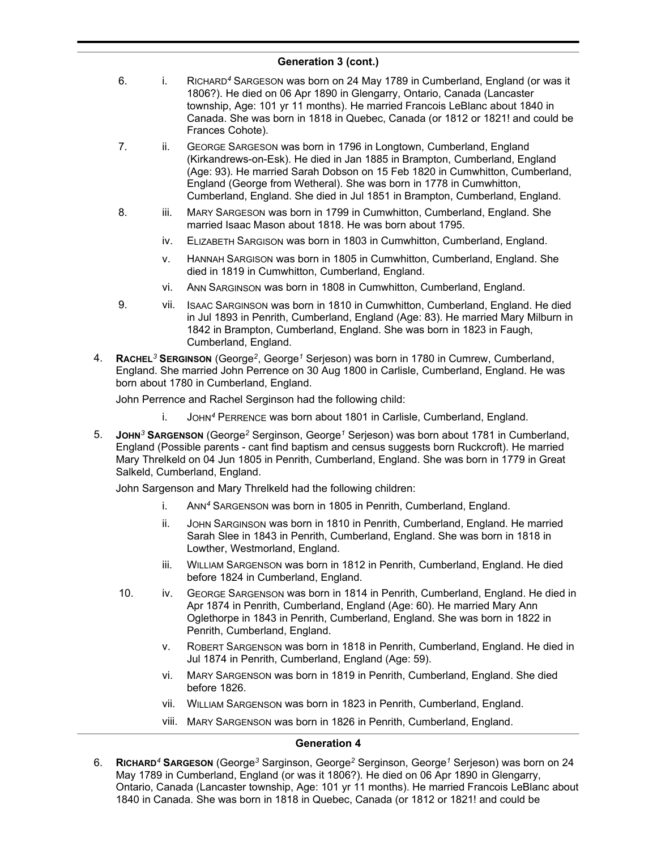- 6. i. RICHARD*<sup>4</sup>* SARGESON was born on 24 May 1789 in Cumberland, England (or was it 1806?). He died on 06 Apr 1890 in Glengarry, Ontario, Canada (Lancaster township, Age: 101 yr 11 months). He married Francois LeBlanc about 1840 in Canada. She was born in 1818 in Quebec, Canada (or 1812 or 1821! and could be Frances Cohote).
- 7. ii. GEORGE SARGESON was born in 1796 in Longtown, Cumberland, England (Kirkandrews-on-Esk). He died in Jan 1885 in Brampton, Cumberland, England (Age: 93). He married Sarah Dobson on 15 Feb 1820 in Cumwhitton, Cumberland, England (George from Wetheral). She was born in 1778 in Cumwhitton, Cumberland, England. She died in Jul 1851 in Brampton, Cumberland, England.
- 8. iii. MARY SARGESON was born in 1799 in Cumwhitton, Cumberland, England. She married Isaac Mason about 1818. He was born about 1795.
	- iv. ELIZABETH SARGISON was born in 1803 in Cumwhitton, Cumberland, England.
	- v. HANNAH SARGISON was born in 1805 in Cumwhitton, Cumberland, England. She died in 1819 in Cumwhitton, Cumberland, England.
	- vi. ANN SARGINSON was born in 1808 in Cumwhitton, Cumberland, England.
- 9. vii. ISAAC SARGINSON was born in 1810 in Cumwhitton, Cumberland, England. He died in Jul 1893 in Penrith, Cumberland, England (Age: 83). He married Mary Milburn in 1842 in Brampton, Cumberland, England. She was born in 1823 in Faugh, Cumberland, England.
- 4. **RACHEL***<sup>3</sup>* **SERGINSON** (George*<sup>2</sup>* , George*<sup>1</sup>* Serjeson) was born in 1780 in Cumrew, Cumberland, England. She married John Perrence on 30 Aug 1800 in Carlisle, Cumberland, England. He was born about 1780 in Cumberland, England.

John Perrence and Rachel Serginson had the following child:

- i. JOHN*<sup>4</sup>* PERRENCE was born about 1801 in Carlisle, Cumberland, England.
- 5. **JOHN***<sup>3</sup>* **SARGENSON** (George*<sup>2</sup>* Serginson, George*<sup>1</sup>* Serjeson) was born about 1781 in Cumberland, England (Possible parents - cant find baptism and census suggests born Ruckcroft). He married Mary Threlkeld on 04 Jun 1805 in Penrith, Cumberland, England. She was born in 1779 in Great Salkeld, Cumberland, England.

John Sargenson and Mary Threlkeld had the following children:

- i. ANN*<sup>4</sup>* SARGENSON was born in 1805 in Penrith, Cumberland, England.
- ii. JOHN SARGINSON was born in 1810 in Penrith, Cumberland, England. He married Sarah Slee in 1843 in Penrith, Cumberland, England. She was born in 1818 in Lowther, Westmorland, England.
- iii. WILLIAM SARGENSON was born in 1812 in Penrith, Cumberland, England. He died before 1824 in Cumberland, England.
- 10. iv. GEORGE SARGENSON was born in 1814 in Penrith, Cumberland, England. He died in Apr 1874 in Penrith, Cumberland, England (Age: 60). He married Mary Ann Oglethorpe in 1843 in Penrith, Cumberland, England. She was born in 1822 in Penrith, Cumberland, England.
	- v. ROBERT SARGENSON was born in 1818 in Penrith, Cumberland, England. He died in Jul 1874 in Penrith, Cumberland, England (Age: 59).
	- vi. MARY SARGENSON was born in 1819 in Penrith, Cumberland, England. She died before 1826.
	- vii. WILLIAM SARGENSON was born in 1823 in Penrith, Cumberland, England.
	- viii. MARY SARGENSON was born in 1826 in Penrith, Cumberland, England.

### **Generation 4**

6. **RICHARD***<sup>4</sup>* **SARGESON** (George*<sup>3</sup>* Sarginson, George*<sup>2</sup>* Serginson, George*<sup>1</sup>* Serjeson) was born on 24 May 1789 in Cumberland, England (or was it 1806?). He died on 06 Apr 1890 in Glengarry, Ontario, Canada (Lancaster township, Age: 101 yr 11 months). He married Francois LeBlanc about 1840 in Canada. She was born in 1818 in Quebec, Canada (or 1812 or 1821! and could be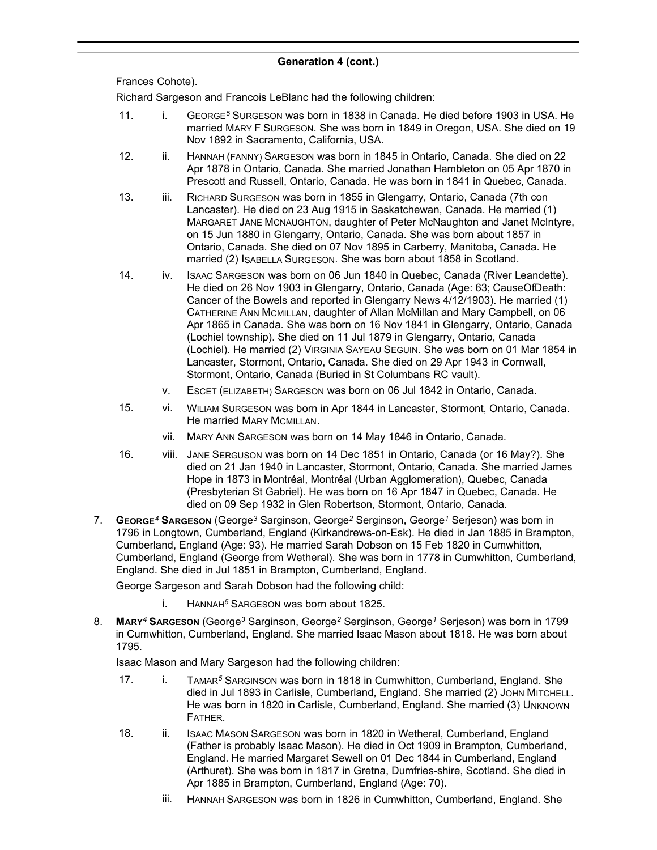Frances Cohote).

Richard Sargeson and Francois LeBlanc had the following children:

- 11. i. GEORGE*<sup>5</sup>* SURGESON was born in 1838 in Canada. He died before 1903 in USA. He married MARY F SURGESON. She was born in 1849 in Oregon, USA. She died on 19 Nov 1892 in Sacramento, California, USA.
- 12. ii. HANNAH (FANNY) SARGESON was born in 1845 in Ontario, Canada. She died on 22 Apr 1878 in Ontario, Canada. She married Jonathan Hambleton on 05 Apr 1870 in Prescott and Russell, Ontario, Canada. He was born in 1841 in Quebec, Canada.
- 13. iii. RICHARD SURGESON was born in 1855 in Glengarry, Ontario, Canada (7th con Lancaster). He died on 23 Aug 1915 in Saskatchewan, Canada. He married (1) MARGARET JANE MCNAUGHTON, daughter of Peter McNaughton and Janet McIntyre, on 15 Jun 1880 in Glengarry, Ontario, Canada. She was born about 1857 in Ontario, Canada. She died on 07 Nov 1895 in Carberry, Manitoba, Canada. He married (2) ISABELLA SURGESON. She was born about 1858 in Scotland.
- 14. iv. ISAAC SARGESON was born on 06 Jun 1840 in Quebec, Canada (River Leandette). He died on 26 Nov 1903 in Glengarry, Ontario, Canada (Age: 63; CauseOfDeath: Cancer of the Bowels and reported in Glengarry News 4/12/1903). He married (1) CATHERINE ANN MCMILLAN, daughter of Allan McMillan and Mary Campbell, on 06 Apr 1865 in Canada. She was born on 16 Nov 1841 in Glengarry, Ontario, Canada (Lochiel township). She died on 11 Jul 1879 in Glengarry, Ontario, Canada (Lochiel). He married (2) VIRGINIA SAYEAU SEGUIN. She was born on 01 Mar 1854 in Lancaster, Stormont, Ontario, Canada. She died on 29 Apr 1943 in Cornwall, Stormont, Ontario, Canada (Buried in St Columbans RC vault).
	- v. ESCET (ELIZABETH) SARGESON was born on 06 Jul 1842 in Ontario, Canada.
- 15. vi. WILIAM SURGESON was born in Apr 1844 in Lancaster, Stormont, Ontario, Canada. He married MARY MCMILLAN.
	- vii. MARY ANN SARGESON was born on 14 May 1846 in Ontario, Canada.
- 16. viii. JANE SERGUSON was born on 14 Dec 1851 in Ontario, Canada (or 16 May?). She died on 21 Jan 1940 in Lancaster, Stormont, Ontario, Canada. She married James Hope in 1873 in Montréal, Montréal (Urban Agglomeration), Quebec, Canada (Presbyterian St Gabriel). He was born on 16 Apr 1847 in Quebec, Canada. He died on 09 Sep 1932 in Glen Robertson, Stormont, Ontario, Canada.
- 7. **GEORGE***<sup>4</sup>* **SARGESON** (George*<sup>3</sup>* Sarginson, George*<sup>2</sup>* Serginson, George*<sup>1</sup>* Serjeson) was born in 1796 in Longtown, Cumberland, England (Kirkandrews-on-Esk). He died in Jan 1885 in Brampton, Cumberland, England (Age: 93). He married Sarah Dobson on 15 Feb 1820 in Cumwhitton, Cumberland, England (George from Wetheral). She was born in 1778 in Cumwhitton, Cumberland, England. She died in Jul 1851 in Brampton, Cumberland, England.

George Sargeson and Sarah Dobson had the following child:

- i. HANNAH*<sup>5</sup>* SARGESON was born about 1825.
- 8. **MARY***<sup>4</sup>* **SARGESON** (George*<sup>3</sup>* Sarginson, George*<sup>2</sup>* Serginson, George*<sup>1</sup>* Serjeson) was born in 1799 in Cumwhitton, Cumberland, England. She married Isaac Mason about 1818. He was born about 1795.

Isaac Mason and Mary Sargeson had the following children:

- 17. i. TAMAR*<sup>5</sup>* SARGINSON was born in 1818 in Cumwhitton, Cumberland, England. She died in Jul 1893 in Carlisle, Cumberland, England. She married (2) JOHN MITCHELL. He was born in 1820 in Carlisle, Cumberland, England. She married (3) UNKNOWN FATHER.
- 18. ii. ISAAC MASON SARGESON was born in 1820 in Wetheral, Cumberland, England (Father is probably Isaac Mason). He died in Oct 1909 in Brampton, Cumberland, England. He married Margaret Sewell on 01 Dec 1844 in Cumberland, England (Arthuret). She was born in 1817 in Gretna, Dumfries-shire, Scotland. She died in Apr 1885 in Brampton, Cumberland, England (Age: 70).
	- iii. HANNAH SARGESON was born in 1826 in Cumwhitton, Cumberland, England. She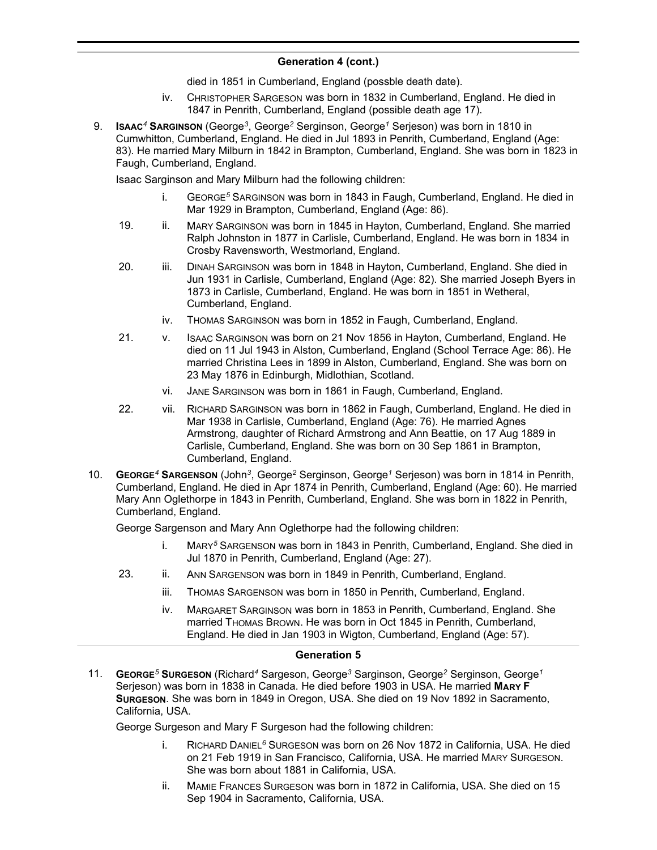died in 1851 in Cumberland, England (possble death date).

- iv. CHRISTOPHER SARGESON was born in 1832 in Cumberland, England. He died in 1847 in Penrith, Cumberland, England (possible death age 17).
- 9. **ISAAC***<sup>4</sup>* **SARGINSON** (George*<sup>3</sup>* , George*<sup>2</sup>* Serginson, George*<sup>1</sup>* Serjeson) was born in 1810 in Cumwhitton, Cumberland, England. He died in Jul 1893 in Penrith, Cumberland, England (Age: 83). He married Mary Milburn in 1842 in Brampton, Cumberland, England. She was born in 1823 in Faugh, Cumberland, England.

Isaac Sarginson and Mary Milburn had the following children:

- i. GEORGE*<sup>5</sup>* SARGINSON was born in 1843 in Faugh, Cumberland, England. He died in Mar 1929 in Brampton, Cumberland, England (Age: 86).
- 19. ii. MARY SARGINSON was born in 1845 in Hayton, Cumberland, England. She married Ralph Johnston in 1877 in Carlisle, Cumberland, England. He was born in 1834 in Crosby Ravensworth, Westmorland, England.
- 20. iii. DINAH SARGINSON was born in 1848 in Hayton, Cumberland, England. She died in Jun 1931 in Carlisle, Cumberland, England (Age: 82). She married Joseph Byers in 1873 in Carlisle, Cumberland, England. He was born in 1851 in Wetheral, Cumberland, England.
	- iv. THOMAS SARGINSON was born in 1852 in Faugh, Cumberland, England.
- 21. v. ISAAC SARGINSON was born on 21 Nov 1856 in Hayton, Cumberland, England. He died on 11 Jul 1943 in Alston, Cumberland, England (School Terrace Age: 86). He married Christina Lees in 1899 in Alston, Cumberland, England. She was born on 23 May 1876 in Edinburgh, Midlothian, Scotland.
	- vi. JANE SARGINSON was born in 1861 in Faugh, Cumberland, England.
- 22. vii. RICHARD SARGINSON was born in 1862 in Faugh, Cumberland, England. He died in Mar 1938 in Carlisle, Cumberland, England (Age: 76). He married Agnes Armstrong, daughter of Richard Armstrong and Ann Beattie, on 17 Aug 1889 in Carlisle, Cumberland, England. She was born on 30 Sep 1861 in Brampton, Cumberland, England.
- 10. **GEORGE***<sup>4</sup>* **SARGENSON** (John*<sup>3</sup>* , George*<sup>2</sup>* Serginson, George*<sup>1</sup>* Serjeson) was born in 1814 in Penrith, Cumberland, England. He died in Apr 1874 in Penrith, Cumberland, England (Age: 60). He married Mary Ann Oglethorpe in 1843 in Penrith, Cumberland, England. She was born in 1822 in Penrith, Cumberland, England.

George Sargenson and Mary Ann Oglethorpe had the following children:

- i. MARY*<sup>5</sup>* SARGENSON was born in 1843 in Penrith, Cumberland, England. She died in Jul 1870 in Penrith, Cumberland, England (Age: 27).
- 23. ii. ANN SARGENSON was born in 1849 in Penrith, Cumberland, England.
	- iii. THOMAS SARGENSON was born in 1850 in Penrith, Cumberland, England.
	- iv. MARGARET SARGINSON was born in 1853 in Penrith, Cumberland, England. She married THOMAS BROWN. He was born in Oct 1845 in Penrith, Cumberland, England. He died in Jan 1903 in Wigton, Cumberland, England (Age: 57).

### **Generation 5**

11. **GEORGE***<sup>5</sup>* **SURGESON** (Richard*<sup>4</sup>* Sargeson, George*<sup>3</sup>* Sarginson, George*<sup>2</sup>* Serginson, George*<sup>1</sup>* Serjeson) was born in 1838 in Canada. He died before 1903 in USA. He married **MARY F SURGESON**. She was born in 1849 in Oregon, USA. She died on 19 Nov 1892 in Sacramento, California, USA.

George Surgeson and Mary F Surgeson had the following children:

- i. RICHARD DANIEL*<sup>6</sup>* SURGESON was born on 26 Nov 1872 in California, USA. He died on 21 Feb 1919 in San Francisco, California, USA. He married MARY SURGESON. She was born about 1881 in California, USA.
- ii. MAMIE FRANCES SURGESON was born in 1872 in California, USA. She died on 15 Sep 1904 in Sacramento, California, USA.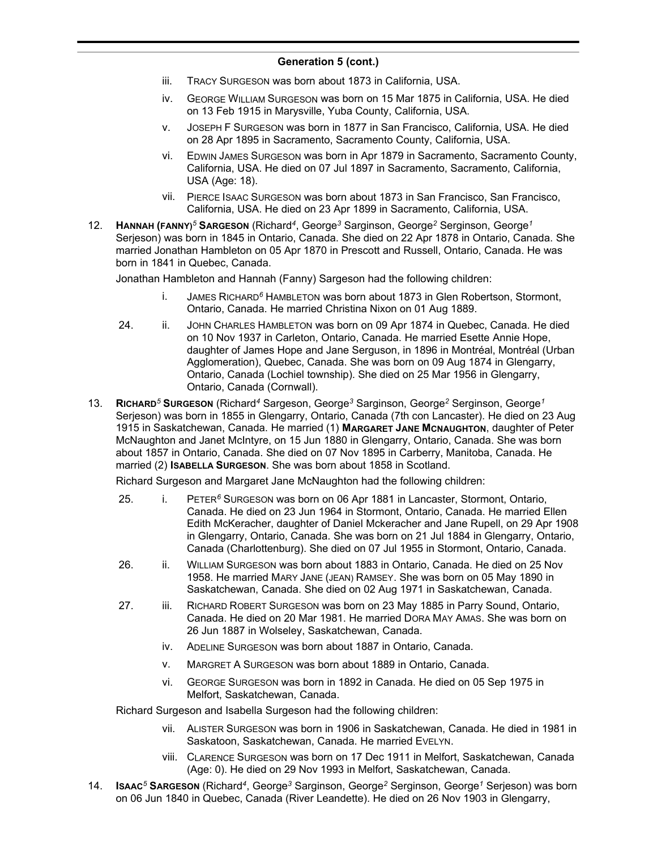- iii. TRACY SURGESON was born about 1873 in California, USA.
- iv. GEORGE WILLIAM SURGESON was born on 15 Mar 1875 in California, USA. He died on 13 Feb 1915 in Marysville, Yuba County, California, USA.
- v. JOSEPH F SURGESON was born in 1877 in San Francisco, California, USA. He died on 28 Apr 1895 in Sacramento, Sacramento County, California, USA.
- vi. EDWIN JAMES SURGESON was born in Apr 1879 in Sacramento, Sacramento County, California, USA. He died on 07 Jul 1897 in Sacramento, Sacramento, California, USA (Age: 18).
- vii. PIERCE ISAAC SURGESON was born about 1873 in San Francisco, San Francisco, California, USA. He died on 23 Apr 1899 in Sacramento, California, USA.
- 12. **HANNAH (FANNY)***<sup>5</sup>* **SARGESON** (Richard*<sup>4</sup>* , George*<sup>3</sup>* Sarginson, George*<sup>2</sup>* Serginson, George*<sup>1</sup>* Serjeson) was born in 1845 in Ontario, Canada. She died on 22 Apr 1878 in Ontario, Canada. She married Jonathan Hambleton on 05 Apr 1870 in Prescott and Russell, Ontario, Canada. He was born in 1841 in Quebec, Canada.

Jonathan Hambleton and Hannah (Fanny) Sargeson had the following children:

- i. JAMES RICHARD*<sup>6</sup>* HAMBLETON was born about 1873 in Glen Robertson, Stormont, Ontario, Canada. He married Christina Nixon on 01 Aug 1889.
- 24. ii. JOHN CHARLES HAMBLETON was born on 09 Apr 1874 in Quebec, Canada. He died on 10 Nov 1937 in Carleton, Ontario, Canada. He married Esette Annie Hope, daughter of James Hope and Jane Serguson, in 1896 in Montréal, Montréal (Urban Agglomeration), Quebec, Canada. She was born on 09 Aug 1874 in Glengarry, Ontario, Canada (Lochiel township). She died on 25 Mar 1956 in Glengarry, Ontario, Canada (Cornwall).
- 13. **RICHARD***<sup>5</sup>* **SURGESON** (Richard*<sup>4</sup>* Sargeson, George*<sup>3</sup>* Sarginson, George*<sup>2</sup>* Serginson, George*<sup>1</sup>* Serjeson) was born in 1855 in Glengarry, Ontario, Canada (7th con Lancaster). He died on 23 Aug 1915 in Saskatchewan, Canada. He married (1) **MARGARET JANE MCNAUGHTON**, daughter of Peter McNaughton and Janet McIntyre, on 15 Jun 1880 in Glengarry, Ontario, Canada. She was born about 1857 in Ontario, Canada. She died on 07 Nov 1895 in Carberry, Manitoba, Canada. He married (2) **ISABELLA SURGESON**. She was born about 1858 in Scotland.

Richard Surgeson and Margaret Jane McNaughton had the following children:

- 25. i. PETER*<sup>6</sup>* SURGESON was born on 06 Apr 1881 in Lancaster, Stormont, Ontario, Canada. He died on 23 Jun 1964 in Stormont, Ontario, Canada. He married Ellen Edith McKeracher, daughter of Daniel Mckeracher and Jane Rupell, on 29 Apr 1908 in Glengarry, Ontario, Canada. She was born on 21 Jul 1884 in Glengarry, Ontario, Canada (Charlottenburg). She died on 07 Jul 1955 in Stormont, Ontario, Canada.
- 26. ii. WILLIAM SURGESON was born about 1883 in Ontario, Canada. He died on 25 Nov 1958. He married MARY JANE (JEAN) RAMSEY. She was born on 05 May 1890 in Saskatchewan, Canada. She died on 02 Aug 1971 in Saskatchewan, Canada.
- 27. iii. RICHARD ROBERT SURGESON was born on 23 May 1885 in Parry Sound, Ontario, Canada. He died on 20 Mar 1981. He married DORA MAY AMAS. She was born on 26 Jun 1887 in Wolseley, Saskatchewan, Canada.
	- iv. ADELINE SURGESON was born about 1887 in Ontario, Canada.
	- v. MARGRET A SURGESON was born about 1889 in Ontario, Canada.
	- vi. GEORGE SURGESON was born in 1892 in Canada. He died on 05 Sep 1975 in Melfort, Saskatchewan, Canada.

Richard Surgeson and Isabella Surgeson had the following children:

- vii. ALISTER SURGESON was born in 1906 in Saskatchewan, Canada. He died in 1981 in Saskatoon, Saskatchewan, Canada. He married EVELYN.
- viii. CLARENCE SURGESON was born on 17 Dec 1911 in Melfort, Saskatchewan, Canada (Age: 0). He died on 29 Nov 1993 in Melfort, Saskatchewan, Canada.
- 14. **ISAAC***<sup>5</sup>* **SARGESON** (Richard*<sup>4</sup>* , George*<sup>3</sup>* Sarginson, George*<sup>2</sup>* Serginson, George*<sup>1</sup>* Serjeson) was born on 06 Jun 1840 in Quebec, Canada (River Leandette). He died on 26 Nov 1903 in Glengarry,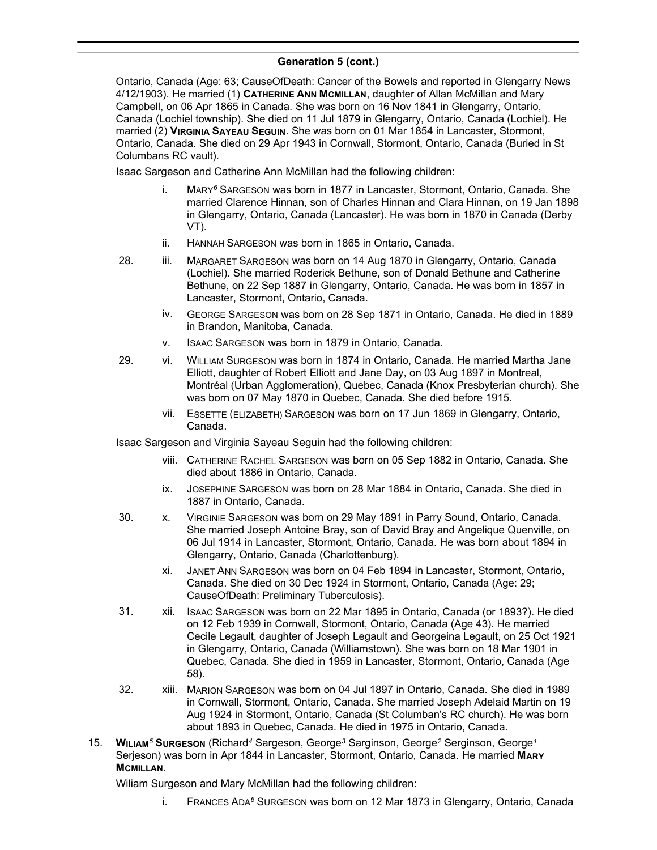#### **Generation 5 (cont.)**  $C$ on  $C$ <sub>i</sub>  $C$ <sub>i</sub>  $C$ <sub>i</sub>  $C$ <sub>i</sub>  $C$ <sub>i</sub>  $C$ <sub>i</sub>  $C$ <sub>i</sub>  $C$ <sub>i</sub>  $C$ <sub>i</sub>  $C$ <sub>i</sub>  $C$ <sub>i</sub>  $C$ <sub>i</sub>  $C$ <sub>i</sub>  $C$ <sub>i</sub>  $C$ <sub>i</sub>  $C$ <sub>i</sub>  $C$ <sub>i</sub>  $C$ <sub>i</sub>  $C$ <sub>i</sub>  $C$ <sub>i</sub>  $C$ <sub>i</sub>  $C$ <sub>i</sub>  $C$ <sub>i</sub>  $C$ <sub>i</sub>  $C$ <sub>i</sub>  $C$ <sub>i</sub>  $C$ <sub>i</sub>  $C$ <sub>i</sub>  $C$ <sub>i</sub>  $C$ <sub>i</sub>  $C$ <sub>i</sub>

Ontario, Canada (Age: 63; CauseOfDeath: Cancer of the Bowels and reported in Glengarry News 4/12/1903). He married (1) **CATHERINE ANN MCMILLAN**, daughter of Allan McMillan and Mary Campbell, on 06 Apr 1865 in Canada. She was born on 16 Nov 1841 in Glengarry, Ontario, Canada (Lochiel township). She died on 11 Jul 1879 in Glengarry, Ontario, Canada (Lochiel). He married (2) **VIRGINIA SAYEAU SEGUIN**. She was born on 01 Mar 1854 in Lancaster, Stormont, Ontario, Canada. She died on 29 Apr 1943 in Cornwall, Stormont, Ontario, Canada (Buried in St Columbans RC vault).

Isaac Sargeson and Catherine Ann McMillan had the following children:

- i. MARY*<sup>6</sup>* SARGESON was born in 1877 in Lancaster, Stormont, Ontario, Canada. She married Clarence Hinnan, son of Charles Hinnan and Clara Hinnan, on 19 Jan 1898 in Glengarry, Ontario, Canada (Lancaster). He was born in 1870 in Canada (Derby VT).
- ii. HANNAH SARGESON was born in 1865 in Ontario, Canada.
- 28. iii. MARGARET SARGESON was born on 14 Aug 1870 in Glengarry, Ontario, Canada (Lochiel). She married Roderick Bethune, son of Donald Bethune and Catherine Bethune, on 22 Sep 1887 in Glengarry, Ontario, Canada. He was born in 1857 in Lancaster, Stormont, Ontario, Canada.
	- iv. GEORGE SARGESON was born on 28 Sep 1871 in Ontario, Canada. He died in 1889 in Brandon, Manitoba, Canada.
	- v. ISAAC SARGESON was born in 1879 in Ontario, Canada.
- 29. vi. WILLIAM SURGESON was born in 1874 in Ontario, Canada. He married Martha Jane Elliott, daughter of Robert Elliott and Jane Day, on 03 Aug 1897 in Montreal, Montréal (Urban Agglomeration), Quebec, Canada (Knox Presbyterian church). She was born on 07 May 1870 in Quebec, Canada. She died before 1915.
	- vii. ESSETTE (ELIZABETH) SARGESON was born on 17 Jun 1869 in Glengarry, Ontario, Canada.

Isaac Sargeson and Virginia Sayeau Seguin had the following children:

- viii. CATHERINE RACHEL SARGESON was born on 05 Sep 1882 in Ontario, Canada. She died about 1886 in Ontario, Canada.
- ix. JOSEPHINE SARGESON was born on 28 Mar 1884 in Ontario, Canada. She died in 1887 in Ontario, Canada.
- 30. x. VIRGINIE SARGESON was born on 29 May 1891 in Parry Sound, Ontario, Canada. She married Joseph Antoine Bray, son of David Bray and Angelique Quenville, on 06 Jul 1914 in Lancaster, Stormont, Ontario, Canada. He was born about 1894 in Glengarry, Ontario, Canada (Charlottenburg).
	- xi. JANET ANN SARGESON was born on 04 Feb 1894 in Lancaster, Stormont, Ontario, Canada. She died on 30 Dec 1924 in Stormont, Ontario, Canada (Age: 29; CauseOfDeath: Preliminary Tuberculosis).
- 31. xii. ISAAC SARGESON was born on 22 Mar 1895 in Ontario, Canada (or 1893?). He died on 12 Feb 1939 in Cornwall, Stormont, Ontario, Canada (Age 43). He married Cecile Legault, daughter of Joseph Legault and Georgeina Legault, on 25 Oct 1921 in Glengarry, Ontario, Canada (Williamstown). She was born on 18 Mar 1901 in Quebec, Canada. She died in 1959 in Lancaster, Stormont, Ontario, Canada (Age 58).
- 32. xiii. MARION SARGESON was born on 04 Jul 1897 in Ontario, Canada. She died in 1989 in Cornwall, Stormont, Ontario, Canada. She married Joseph Adelaid Martin on 19 Aug 1924 in Stormont, Ontario, Canada (St Columban's RC church). He was born about 1893 in Quebec, Canada. He died in 1975 in Ontario, Canada.
- 15. **WILIAM***<sup>5</sup>* **SURGESON** (Richard*<sup>4</sup>* Sargeson, George*<sup>3</sup>* Sarginson, George*<sup>2</sup>* Serginson, George*<sup>1</sup>* Serjeson) was born in Apr 1844 in Lancaster, Stormont, Ontario, Canada. He married **MARY MCMILLAN**.

Wiliam Surgeson and Mary McMillan had the following children:

i. FRANCES ADA*<sup>6</sup>* SURGESON was born on 12 Mar 1873 in Glengarry, Ontario, Canada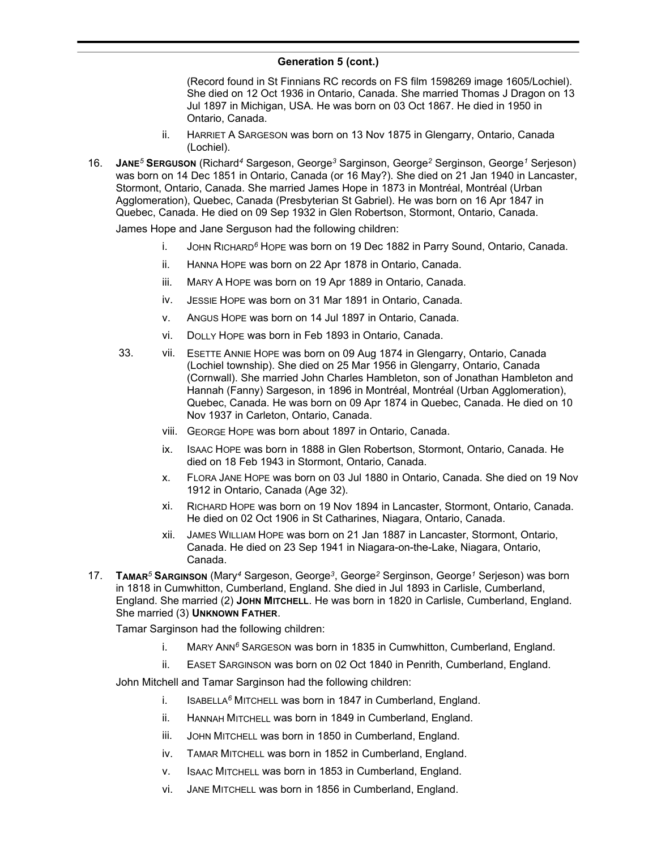(Record found in St Finnians RC records on FS film 1598269 image 1605/Lochiel). She died on 12 Oct 1936 in Ontario, Canada. She married Thomas J Dragon on 13 Jul 1897 in Michigan, USA. He was born on 03 Oct 1867. He died in 1950 in Ontario, Canada.

- ii. HARRIET A SARGESON was born on 13 Nov 1875 in Glengarry, Ontario, Canada (Lochiel).
- 16. **JANE***<sup>5</sup>* **SERGUSON** (Richard*<sup>4</sup>* Sargeson, George*<sup>3</sup>* Sarginson, George*<sup>2</sup>* Serginson, George*<sup>1</sup>* Serjeson) was born on 14 Dec 1851 in Ontario, Canada (or 16 May?). She died on 21 Jan 1940 in Lancaster, Stormont, Ontario, Canada. She married James Hope in 1873 in Montréal, Montréal (Urban Agglomeration), Quebec, Canada (Presbyterian St Gabriel). He was born on 16 Apr 1847 in Quebec, Canada. He died on 09 Sep 1932 in Glen Robertson, Stormont, Ontario, Canada.

James Hope and Jane Serguson had the following children:

- i. JOHN RICHARD*<sup>6</sup>* HOPE was born on 19 Dec 1882 in Parry Sound, Ontario, Canada.
- ii. HANNA HOPE was born on 22 Apr 1878 in Ontario, Canada.
- iii. MARY A HOPE was born on 19 Apr 1889 in Ontario, Canada.
- iv. JESSIE HOPE was born on 31 Mar 1891 in Ontario, Canada.
- v. ANGUS HOPE was born on 14 Jul 1897 in Ontario, Canada.
- vi. DOLLY HOPE was born in Feb 1893 in Ontario, Canada.
- 33. vii. ESETTE ANNIE HOPE was born on 09 Aug 1874 in Glengarry, Ontario, Canada (Lochiel township). She died on 25 Mar 1956 in Glengarry, Ontario, Canada (Cornwall). She married John Charles Hambleton, son of Jonathan Hambleton and Hannah (Fanny) Sargeson, in 1896 in Montréal, Montréal (Urban Agglomeration), Quebec, Canada. He was born on 09 Apr 1874 in Quebec, Canada. He died on 10 Nov 1937 in Carleton, Ontario, Canada.
	- viii. GEORGE HOPE was born about 1897 in Ontario, Canada.
	- ix. ISAAC HOPE was born in 1888 in Glen Robertson, Stormont, Ontario, Canada. He died on 18 Feb 1943 in Stormont, Ontario, Canada.
	- x. FLORA JANE HOPE was born on 03 Jul 1880 in Ontario, Canada. She died on 19 Nov 1912 in Ontario, Canada (Age 32).
	- xi. RICHARD HOPE was born on 19 Nov 1894 in Lancaster, Stormont, Ontario, Canada. He died on 02 Oct 1906 in St Catharines, Niagara, Ontario, Canada.
	- xii. JAMES WILLIAM HOPE was born on 21 Jan 1887 in Lancaster, Stormont, Ontario, Canada. He died on 23 Sep 1941 in Niagara-on-the-Lake, Niagara, Ontario, Canada.
- 17. **TAMAR***<sup>5</sup>* **SARGINSON** (Mary*<sup>4</sup>* Sargeson, George*<sup>3</sup>* , George*<sup>2</sup>* Serginson, George*<sup>1</sup>* Serjeson) was born in 1818 in Cumwhitton, Cumberland, England. She died in Jul 1893 in Carlisle, Cumberland, England. She married (2) **JOHN MITCHELL**. He was born in 1820 in Carlisle, Cumberland, England. She married (3) **UNKNOWN FATHER**.

Tamar Sarginson had the following children:

- i. MARY ANN*<sup>6</sup>* SARGESON was born in 1835 in Cumwhitton, Cumberland, England.
- ii. EASET SARGINSON was born on 02 Oct 1840 in Penrith, Cumberland, England.

John Mitchell and Tamar Sarginson had the following children:

- i. ISABELLA*<sup>6</sup>* MITCHELL was born in 1847 in Cumberland, England.
- ii. HANNAH MITCHELL was born in 1849 in Cumberland, England.
- iii. JOHN MITCHELL was born in 1850 in Cumberland, England.
- iv. TAMAR MITCHELL was born in 1852 in Cumberland, England.
- v. ISAAC MITCHELL was born in 1853 in Cumberland, England.
- vi. JANE MITCHELL was born in 1856 in Cumberland, England.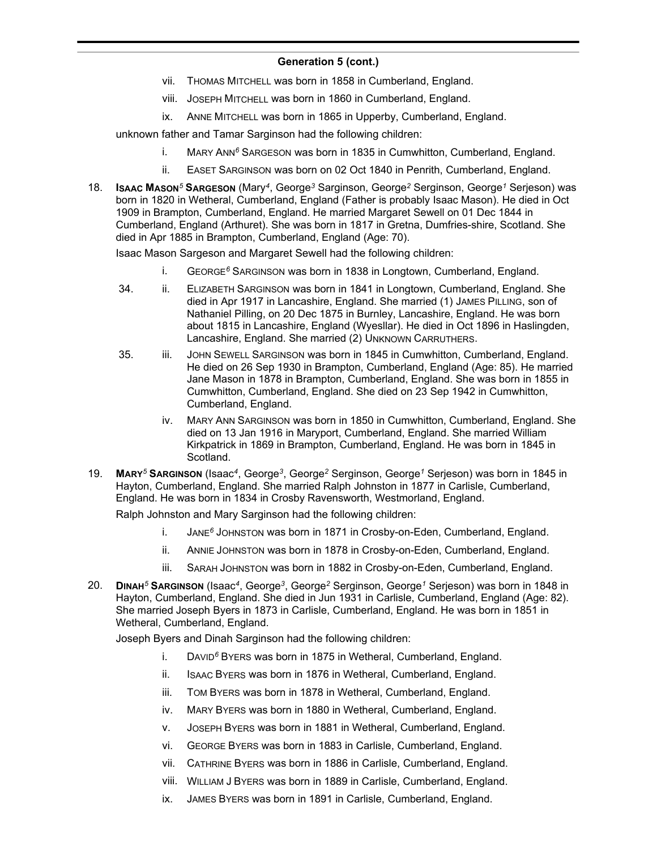- vii. THOMAS MITCHELL was born in 1858 in Cumberland, England.
- viii. JOSEPH MITCHELL was born in 1860 in Cumberland, England.
- ix. ANNE MITCHELL was born in 1865 in Upperby, Cumberland, England.

unknown father and Tamar Sarginson had the following children:

- i. MARY ANN*<sup>6</sup>* SARGESON was born in 1835 in Cumwhitton, Cumberland, England.
- ii. EASET SARGINSON was born on 02 Oct 1840 in Penrith, Cumberland, England.
- 18. **ISAAC MASON***<sup>5</sup>* **SARGESON** (Mary*<sup>4</sup>* , George*<sup>3</sup>* Sarginson, George*<sup>2</sup>* Serginson, George*<sup>1</sup>* Serjeson) was born in 1820 in Wetheral, Cumberland, England (Father is probably Isaac Mason). He died in Oct 1909 in Brampton, Cumberland, England. He married Margaret Sewell on 01 Dec 1844 in Cumberland, England (Arthuret). She was born in 1817 in Gretna, Dumfries-shire, Scotland. She died in Apr 1885 in Brampton, Cumberland, England (Age: 70).

Isaac Mason Sargeson and Margaret Sewell had the following children:

- i. GEORGE*<sup>6</sup>* SARGINSON was born in 1838 in Longtown, Cumberland, England.
- 34. ii. ELIZABETH SARGINSON was born in 1841 in Longtown, Cumberland, England. She died in Apr 1917 in Lancashire, England. She married (1) JAMES PILLING, son of Nathaniel Pilling, on 20 Dec 1875 in Burnley, Lancashire, England. He was born about 1815 in Lancashire, England (Wyesllar). He died in Oct 1896 in Haslingden, Lancashire, England. She married (2) UNKNOWN CARRUTHERS.
- 35. iii. JOHN SEWELL SARGINSON was born in 1845 in Cumwhitton, Cumberland, England. He died on 26 Sep 1930 in Brampton, Cumberland, England (Age: 85). He married Jane Mason in 1878 in Brampton, Cumberland, England. She was born in 1855 in Cumwhitton, Cumberland, England. She died on 23 Sep 1942 in Cumwhitton, Cumberland, England.
	- iv. MARY ANN SARGINSON was born in 1850 in Cumwhitton, Cumberland, England. She died on 13 Jan 1916 in Maryport, Cumberland, England. She married William Kirkpatrick in 1869 in Brampton, Cumberland, England. He was born in 1845 in Scotland.
- 19. **MARY***<sup>5</sup>* **SARGINSON** (Isaac*<sup>4</sup>* , George*<sup>3</sup>* , George*<sup>2</sup>* Serginson, George*<sup>1</sup>* Serjeson) was born in 1845 in Hayton, Cumberland, England. She married Ralph Johnston in 1877 in Carlisle, Cumberland, England. He was born in 1834 in Crosby Ravensworth, Westmorland, England.

Ralph Johnston and Mary Sarginson had the following children:

- i. JANE*<sup>6</sup>* JOHNSTON was born in 1871 in Crosby-on-Eden, Cumberland, England.
- ii. ANNIE JOHNSTON was born in 1878 in Crosby-on-Eden, Cumberland, England.
- iii. SARAH JOHNSTON was born in 1882 in Crosby-on-Eden, Cumberland, England.
- 20. **DINAH***<sup>5</sup>* **SARGINSON** (Isaac*<sup>4</sup>* , George*<sup>3</sup>* , George*<sup>2</sup>* Serginson, George*<sup>1</sup>* Serjeson) was born in 1848 in Hayton, Cumberland, England. She died in Jun 1931 in Carlisle, Cumberland, England (Age: 82). She married Joseph Byers in 1873 in Carlisle, Cumberland, England. He was born in 1851 in Wetheral, Cumberland, England.

Joseph Byers and Dinah Sarginson had the following children:

- i. DAVID*<sup>6</sup>* BYERS was born in 1875 in Wetheral, Cumberland, England.
- ii. ISAAC BYERS was born in 1876 in Wetheral, Cumberland, England.
- iii. TOM BYERS was born in 1878 in Wetheral, Cumberland, England.
- iv. MARY BYERS was born in 1880 in Wetheral, Cumberland, England.
- v. JOSEPH BYERS was born in 1881 in Wetheral, Cumberland, England.
- vi. GEORGE BYERS was born in 1883 in Carlisle, Cumberland, England.
- vii. CATHRINE BYERS was born in 1886 in Carlisle, Cumberland, England.
- viii. WILLIAM J BYERS was born in 1889 in Carlisle, Cumberland, England.
- ix. JAMES BYERS was born in 1891 in Carlisle, Cumberland, England.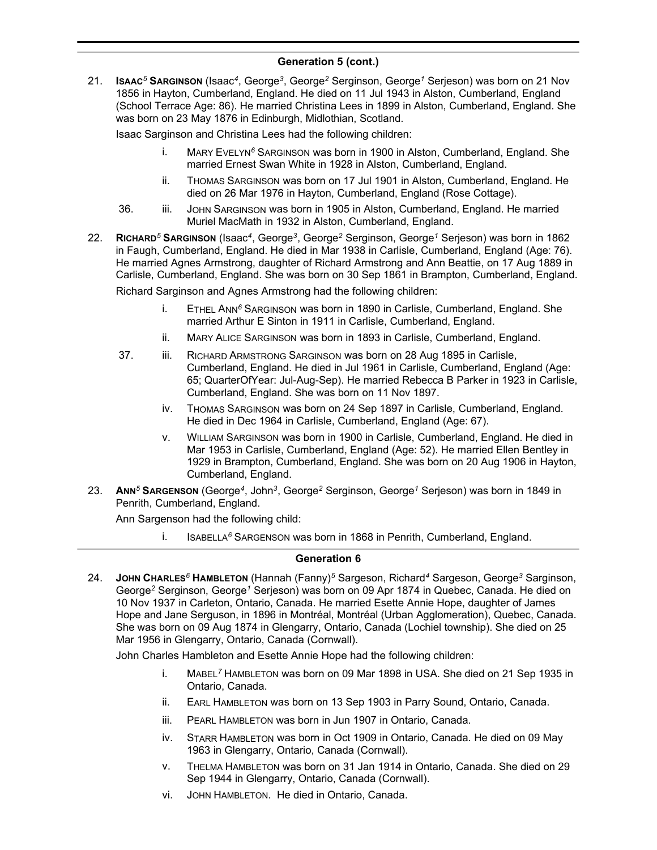21. **ISAAC***<sup>5</sup>* **SARGINSON** (Isaac*<sup>4</sup>* , George*<sup>3</sup>* , George*<sup>2</sup>* Serginson, George*<sup>1</sup>* Serjeson) was born on 21 Nov 1856 in Hayton, Cumberland, England. He died on 11 Jul 1943 in Alston, Cumberland, England (School Terrace Age: 86). He married Christina Lees in 1899 in Alston, Cumberland, England. She was born on 23 May 1876 in Edinburgh, Midlothian, Scotland.

Isaac Sarginson and Christina Lees had the following children:

- i. MARY EVELYN*<sup>6</sup>* SARGINSON was born in 1900 in Alston, Cumberland, England. She married Ernest Swan White in 1928 in Alston, Cumberland, England.
- ii. THOMAS SARGINSON was born on 17 Jul 1901 in Alston, Cumberland, England. He died on 26 Mar 1976 in Hayton, Cumberland, England (Rose Cottage).
- 36. iii. JOHN SARGINSON was born in 1905 in Alston, Cumberland, England. He married Muriel MacMath in 1932 in Alston, Cumberland, England.
- 22. **RICHARD***<sup>5</sup>* **SARGINSON** (Isaac*<sup>4</sup>* , George*<sup>3</sup>* , George*<sup>2</sup>* Serginson, George*<sup>1</sup>* Serjeson) was born in 1862 in Faugh, Cumberland, England. He died in Mar 1938 in Carlisle, Cumberland, England (Age: 76). He married Agnes Armstrong, daughter of Richard Armstrong and Ann Beattie, on 17 Aug 1889 in Carlisle, Cumberland, England. She was born on 30 Sep 1861 in Brampton, Cumberland, England.

Richard Sarginson and Agnes Armstrong had the following children:

- i. ETHEL ANN*<sup>6</sup>* SARGINSON was born in 1890 in Carlisle, Cumberland, England. She married Arthur E Sinton in 1911 in Carlisle, Cumberland, England.
- ii. MARY ALICE SARGINSON was born in 1893 in Carlisle, Cumberland, England.
- 37. iii. RICHARD ARMSTRONG SARGINSON was born on 28 Aug 1895 in Carlisle, Cumberland, England. He died in Jul 1961 in Carlisle, Cumberland, England (Age: 65; QuarterOfYear: Jul-Aug-Sep). He married Rebecca B Parker in 1923 in Carlisle, Cumberland, England. She was born on 11 Nov 1897.
	- iv. THOMAS SARGINSON was born on 24 Sep 1897 in Carlisle, Cumberland, England. He died in Dec 1964 in Carlisle, Cumberland, England (Age: 67).
	- v. WILLIAM SARGINSON was born in 1900 in Carlisle, Cumberland, England. He died in Mar 1953 in Carlisle, Cumberland, England (Age: 52). He married Ellen Bentley in 1929 in Brampton, Cumberland, England. She was born on 20 Aug 1906 in Hayton, Cumberland, England.
- 23. **ANN***<sup>5</sup>* **SARGENSON** (George*<sup>4</sup>* , John*<sup>3</sup>* , George*<sup>2</sup>* Serginson, George*<sup>1</sup>* Serjeson) was born in 1849 in Penrith, Cumberland, England.

Ann Sargenson had the following child:

i. ISABELLA*<sup>6</sup>* SARGENSON was born in 1868 in Penrith, Cumberland, England.

# **Generation 6**

24. **JOHN CHARLES***<sup>6</sup>* **HAMBLETON** (Hannah (Fanny)*<sup>5</sup>* Sargeson, Richard*<sup>4</sup>* Sargeson, George*<sup>3</sup>* Sarginson, George*<sup>2</sup>* Serginson, George*<sup>1</sup>* Serjeson) was born on 09 Apr 1874 in Quebec, Canada. He died on 10 Nov 1937 in Carleton, Ontario, Canada. He married Esette Annie Hope, daughter of James Hope and Jane Serguson, in 1896 in Montréal, Montréal (Urban Agglomeration), Quebec, Canada. She was born on 09 Aug 1874 in Glengarry, Ontario, Canada (Lochiel township). She died on 25 Mar 1956 in Glengarry, Ontario, Canada (Cornwall).

John Charles Hambleton and Esette Annie Hope had the following children:

- i. MABEL*<sup>7</sup>* HAMBLETON was born on 09 Mar 1898 in USA. She died on 21 Sep 1935 in Ontario, Canada.
- ii. EARL HAMBLETON was born on 13 Sep 1903 in Parry Sound, Ontario, Canada.
- iii. PEARL HAMBLETON was born in Jun 1907 in Ontario, Canada.
- iv. STARR HAMBLETON was born in Oct 1909 in Ontario, Canada. He died on 09 May 1963 in Glengarry, Ontario, Canada (Cornwall).
- v. THELMA HAMBLETON was born on 31 Jan 1914 in Ontario, Canada. She died on 29 Sep 1944 in Glengarry, Ontario, Canada (Cornwall).
- vi. JOHN HAMBLETON. He died in Ontario, Canada.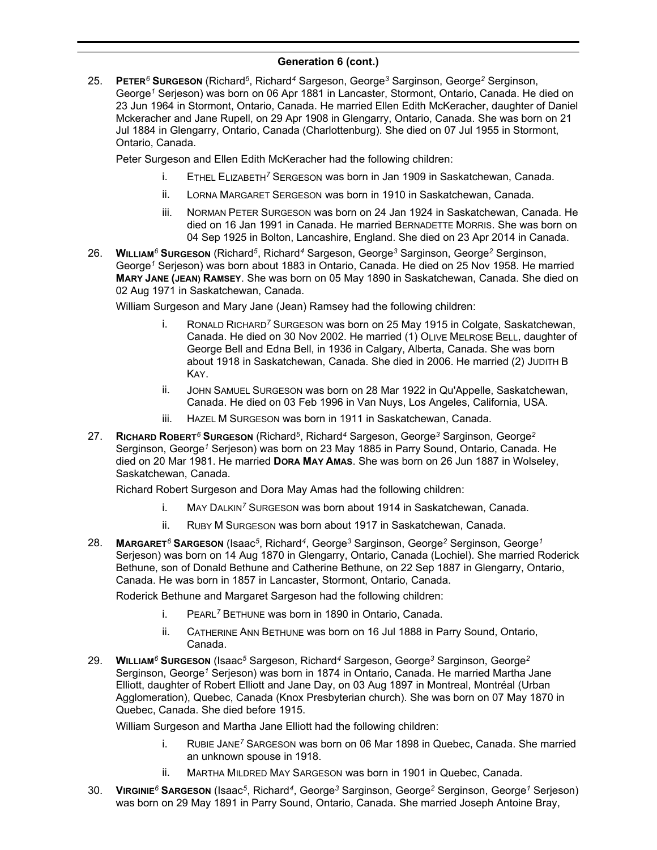25. **PETER***<sup>6</sup>* **SURGESON** (Richard*<sup>5</sup>* , Richard*<sup>4</sup>* Sargeson, George*<sup>3</sup>* Sarginson, George*<sup>2</sup>* Serginson, George*<sup>1</sup>* Serjeson) was born on 06 Apr 1881 in Lancaster, Stormont, Ontario, Canada. He died on 23 Jun 1964 in Stormont, Ontario, Canada. He married Ellen Edith McKeracher, daughter of Daniel Mckeracher and Jane Rupell, on 29 Apr 1908 in Glengarry, Ontario, Canada. She was born on 21 Jul 1884 in Glengarry, Ontario, Canada (Charlottenburg). She died on 07 Jul 1955 in Stormont, Ontario, Canada.

Peter Surgeson and Ellen Edith McKeracher had the following children:

- i. ETHEL ELIZABETH*<sup>7</sup>* SERGESON was born in Jan 1909 in Saskatchewan, Canada.
- ii. LORNA MARGARET SERGESON was born in 1910 in Saskatchewan, Canada.
- iii. NORMAN PETER SURGESON was born on 24 Jan 1924 in Saskatchewan, Canada. He died on 16 Jan 1991 in Canada. He married BERNADETTE MORRIS. She was born on 04 Sep 1925 in Bolton, Lancashire, England. She died on 23 Apr 2014 in Canada.
- 26. **WILLIAM***<sup>6</sup>* **SURGESON** (Richard*<sup>5</sup>* , Richard*<sup>4</sup>* Sargeson, George*<sup>3</sup>* Sarginson, George*<sup>2</sup>* Serginson, George*<sup>1</sup>* Serjeson) was born about 1883 in Ontario, Canada. He died on 25 Nov 1958. He married **MARY JANE (JEAN) RAMSEY**. She was born on 05 May 1890 in Saskatchewan, Canada. She died on 02 Aug 1971 in Saskatchewan, Canada.

William Surgeson and Mary Jane (Jean) Ramsey had the following children:

- i. RONALD RICHARD*<sup>7</sup>* SURGESON was born on 25 May 1915 in Colgate, Saskatchewan, Canada. He died on 30 Nov 2002. He married (1) OLIVE MELROSE BELL, daughter of George Bell and Edna Bell, in 1936 in Calgary, Alberta, Canada. She was born about 1918 in Saskatchewan, Canada. She died in 2006. He married (2) JUDITH B KAY.
- ii. JOHN SAMUEL SURGESON was born on 28 Mar 1922 in Qu'Appelle, Saskatchewan, Canada. He died on 03 Feb 1996 in Van Nuys, Los Angeles, California, USA.
- iii. HAZEL M SURGESON was born in 1911 in Saskatchewan, Canada.
- 27. **RICHARD ROBERT***<sup>6</sup>* **SURGESON** (Richard*<sup>5</sup>* , Richard*<sup>4</sup>* Sargeson, George*<sup>3</sup>* Sarginson, George*<sup>2</sup>* Serginson, George*<sup>1</sup>* Serjeson) was born on 23 May 1885 in Parry Sound, Ontario, Canada. He died on 20 Mar 1981. He married **DORA MAY AMAS**. She was born on 26 Jun 1887 in Wolseley, Saskatchewan, Canada.

Richard Robert Surgeson and Dora May Amas had the following children:

- i. MAY DALKIN*<sup>7</sup>* SURGESON was born about 1914 in Saskatchewan, Canada.
- ii. RUBY M SURGESON was born about 1917 in Saskatchewan, Canada.
- 28. **MARGARET***<sup>6</sup>* **SARGESON** (Isaac*<sup>5</sup>* , Richard*<sup>4</sup>* , George*<sup>3</sup>* Sarginson, George*<sup>2</sup>* Serginson, George*<sup>1</sup>* Serjeson) was born on 14 Aug 1870 in Glengarry, Ontario, Canada (Lochiel). She married Roderick Bethune, son of Donald Bethune and Catherine Bethune, on 22 Sep 1887 in Glengarry, Ontario, Canada. He was born in 1857 in Lancaster, Stormont, Ontario, Canada.

Roderick Bethune and Margaret Sargeson had the following children:

- i. PEARL*<sup>7</sup>* BETHUNE was born in 1890 in Ontario, Canada.
- ii. CATHERINE ANN BETHUNE was born on 16 Jul 1888 in Parry Sound, Ontario, Canada.
- 29. **WILLIAM***<sup>6</sup>* **SURGESON** (Isaac*<sup>5</sup>* Sargeson, Richard*<sup>4</sup>* Sargeson, George*<sup>3</sup>* Sarginson, George*<sup>2</sup>* Serginson, George*<sup>1</sup>* Serjeson) was born in 1874 in Ontario, Canada. He married Martha Jane Elliott, daughter of Robert Elliott and Jane Day, on 03 Aug 1897 in Montreal, Montréal (Urban Agglomeration), Quebec, Canada (Knox Presbyterian church). She was born on 07 May 1870 in Quebec, Canada. She died before 1915.

William Surgeson and Martha Jane Elliott had the following children:

- i. RUBIE JANE*<sup>7</sup>* SARGESON was born on 06 Mar 1898 in Quebec, Canada. She married an unknown spouse in 1918.
- ii. MARTHA MILDRED MAY SARGESON was born in 1901 in Quebec, Canada.
- 30. **VIRGINIE***<sup>6</sup>* **SARGESON** (Isaac*<sup>5</sup>* , Richard*<sup>4</sup>* , George*<sup>3</sup>* Sarginson, George*<sup>2</sup>* Serginson, George*<sup>1</sup>* Serjeson) was born on 29 May 1891 in Parry Sound, Ontario, Canada. She married Joseph Antoine Bray,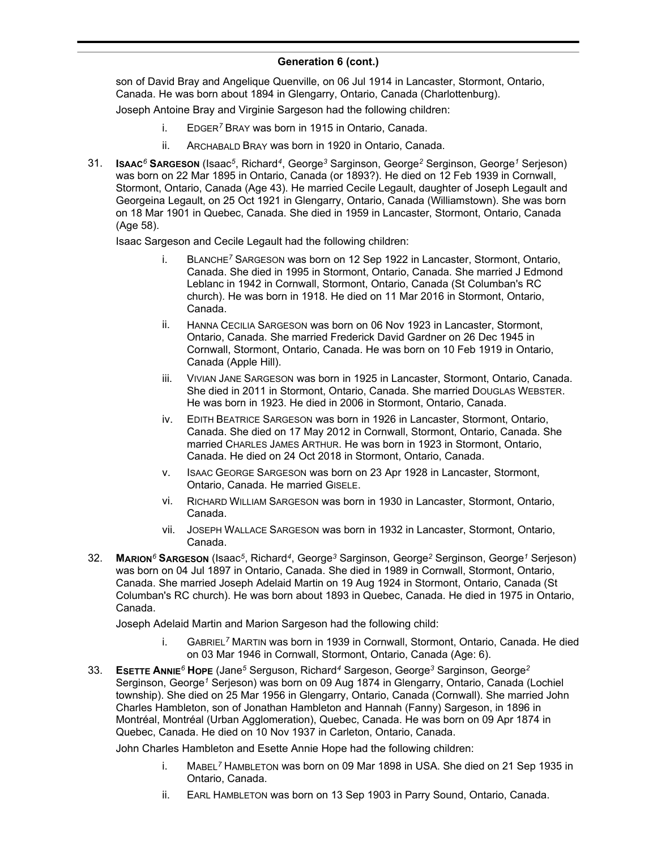#### **Generation 6 (cont.)**  $S_{\rm 981}$  in Parry Sound,  $S_{\rm 981}$

son of David Bray and Angelique Quenville, on 06 Jul 1914 in Lancaster, Stormont, Ontario, Canada. He was born about 1894 in Glengarry, Ontario, Canada (Charlottenburg).

Joseph Antoine Bray and Virginie Sargeson had the following children:

- i. EDGER*<sup>7</sup>* BRAY was born in 1915 in Ontario, Canada.
- ii. ARCHABALD BRAY was born in 1920 in Ontario, Canada.
- 31. **ISAAC***<sup>6</sup>* **SARGESON** (Isaac*<sup>5</sup>* , Richard*<sup>4</sup>* , George*<sup>3</sup>* Sarginson, George*<sup>2</sup>* Serginson, George*<sup>1</sup>* Serjeson) was born on 22 Mar 1895 in Ontario, Canada (or 1893?). He died on 12 Feb 1939 in Cornwall, Stormont, Ontario, Canada (Age 43). He married Cecile Legault, daughter of Joseph Legault and Georgeina Legault, on 25 Oct 1921 in Glengarry, Ontario, Canada (Williamstown). She was born on 18 Mar 1901 in Quebec, Canada. She died in 1959 in Lancaster, Stormont, Ontario, Canada (Age 58).

Isaac Sargeson and Cecile Legault had the following children:

- i. BLANCHE*<sup>7</sup>* SARGESON was born on 12 Sep 1922 in Lancaster, Stormont, Ontario, Canada. She died in 1995 in Stormont, Ontario, Canada. She married J Edmond Leblanc in 1942 in Cornwall, Stormont, Ontario, Canada (St Columban's RC church). He was born in 1918. He died on 11 Mar 2016 in Stormont, Ontario, Canada.
- ii. HANNA CECILIA SARGESON was born on 06 Nov 1923 in Lancaster, Stormont, Ontario, Canada. She married Frederick David Gardner on 26 Dec 1945 in Cornwall, Stormont, Ontario, Canada. He was born on 10 Feb 1919 in Ontario, Canada (Apple Hill).
- iii. VIVIAN JANE SARGESON was born in 1925 in Lancaster, Stormont, Ontario, Canada. She died in 2011 in Stormont, Ontario, Canada. She married DOUGLAS WEBSTER. He was born in 1923. He died in 2006 in Stormont, Ontario, Canada.
- iv. EDITH BEATRICE SARGESON was born in 1926 in Lancaster, Stormont, Ontario, Canada. She died on 17 May 2012 in Cornwall, Stormont, Ontario, Canada. She married CHARLES JAMES ARTHUR. He was born in 1923 in Stormont, Ontario, Canada. He died on 24 Oct 2018 in Stormont, Ontario, Canada.
- v. ISAAC GEORGE SARGESON was born on 23 Apr 1928 in Lancaster, Stormont, Ontario, Canada. He married GISELE.
- vi. RICHARD WILLIAM SARGESON was born in 1930 in Lancaster, Stormont, Ontario, Canada.
- vii. JOSEPH WALLACE SARGESON was born in 1932 in Lancaster, Stormont, Ontario, Canada.
- 32. **MARION***<sup>6</sup>* **SARGESON** (Isaac*<sup>5</sup>* , Richard*<sup>4</sup>* , George*<sup>3</sup>* Sarginson, George*<sup>2</sup>* Serginson, George*<sup>1</sup>* Serjeson) was born on 04 Jul 1897 in Ontario, Canada. She died in 1989 in Cornwall, Stormont, Ontario, Canada. She married Joseph Adelaid Martin on 19 Aug 1924 in Stormont, Ontario, Canada (St Columban's RC church). He was born about 1893 in Quebec, Canada. He died in 1975 in Ontario, Canada.

Joseph Adelaid Martin and Marion Sargeson had the following child:

- i. GABRIEL*<sup>7</sup>* MARTIN was born in 1939 in Cornwall, Stormont, Ontario, Canada. He died on 03 Mar 1946 in Cornwall, Stormont, Ontario, Canada (Age: 6).
- 33. **ESETTE ANNIE***<sup>6</sup>* **HOPE** (Jane*<sup>5</sup>* Serguson, Richard*<sup>4</sup>* Sargeson, George*<sup>3</sup>* Sarginson, George*<sup>2</sup>* Serginson, George*<sup>1</sup>* Serjeson) was born on 09 Aug 1874 in Glengarry, Ontario, Canada (Lochiel township). She died on 25 Mar 1956 in Glengarry, Ontario, Canada (Cornwall). She married John Charles Hambleton, son of Jonathan Hambleton and Hannah (Fanny) Sargeson, in 1896 in Montréal, Montréal (Urban Agglomeration), Quebec, Canada. He was born on 09 Apr 1874 in Quebec, Canada. He died on 10 Nov 1937 in Carleton, Ontario, Canada.

John Charles Hambleton and Esette Annie Hope had the following children:

- i. MABEL*<sup>7</sup>* HAMBLETON was born on 09 Mar 1898 in USA. She died on 21 Sep 1935 in Ontario, Canada.
- ii. EARL HAMBLETON was born on 13 Sep 1903 in Parry Sound, Ontario, Canada.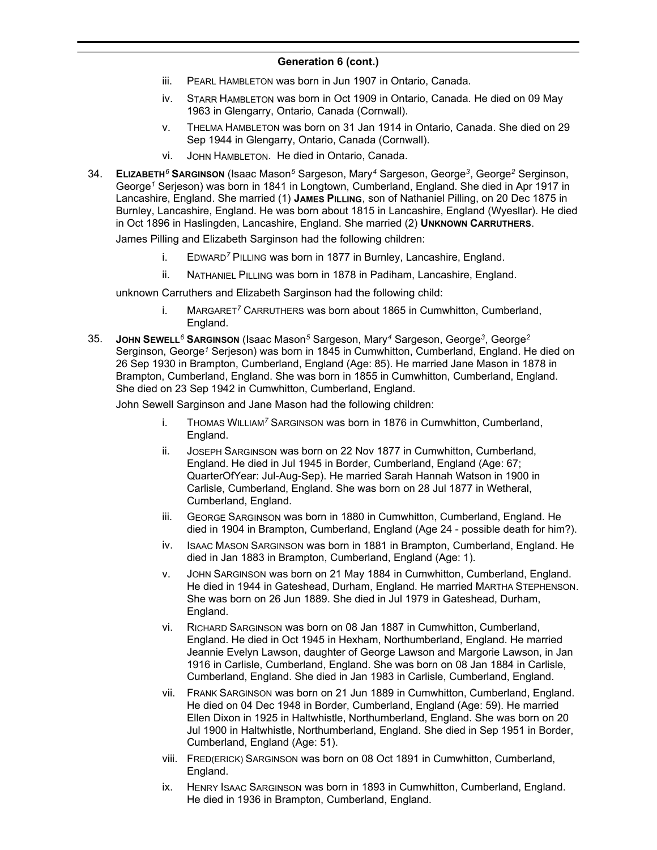- iii. PEARL HAMBLETON was born in Jun 1907 in Ontario, Canada.
- iv. STARR HAMBLETON was born in Oct 1909 in Ontario, Canada. He died on 09 May 1963 in Glengarry, Ontario, Canada (Cornwall).
- v. THELMA HAMBLETON was born on 31 Jan 1914 in Ontario, Canada. She died on 29 Sep 1944 in Glengarry, Ontario, Canada (Cornwall).
- vi. JOHN HAMBLETON. He died in Ontario, Canada.
- 34. **ELIZABETH***<sup>6</sup>* **SARGINSON** (Isaac Mason*<sup>5</sup>* Sargeson, Mary*<sup>4</sup>* Sargeson, George*<sup>3</sup>* , George*<sup>2</sup>* Serginson, George*<sup>1</sup>* Serjeson) was born in 1841 in Longtown, Cumberland, England. She died in Apr 1917 in Lancashire, England. She married (1) **JAMES PILLING**, son of Nathaniel Pilling, on 20 Dec 1875 in Burnley, Lancashire, England. He was born about 1815 in Lancashire, England (Wyesllar). He died in Oct 1896 in Haslingden, Lancashire, England. She married (2) **UNKNOWN CARRUTHERS**.

James Pilling and Elizabeth Sarginson had the following children:

- i. EDWARD*<sup>7</sup>* PILLING was born in 1877 in Burnley, Lancashire, England.
- ii. NATHANIEL PILLING was born in 1878 in Padiham, Lancashire, England.

unknown Carruthers and Elizabeth Sarginson had the following child:

- i. MARGARET*<sup>7</sup>* CARRUTHERS was born about 1865 in Cumwhitton, Cumberland, England.
- 35. **JOHN SEWELL***<sup>6</sup>* **SARGINSON** (Isaac Mason*<sup>5</sup>* Sargeson, Mary*<sup>4</sup>* Sargeson, George*<sup>3</sup>* , George*<sup>2</sup>* Serginson, George*<sup>1</sup>* Serjeson) was born in 1845 in Cumwhitton, Cumberland, England. He died on 26 Sep 1930 in Brampton, Cumberland, England (Age: 85). He married Jane Mason in 1878 in Brampton, Cumberland, England. She was born in 1855 in Cumwhitton, Cumberland, England. She died on 23 Sep 1942 in Cumwhitton, Cumberland, England.

John Sewell Sarginson and Jane Mason had the following children:

- i. THOMAS WILLIAM*<sup>7</sup>* SARGINSON was born in 1876 in Cumwhitton, Cumberland, England.
- ii. JOSEPH SARGINSON was born on 22 Nov 1877 in Cumwhitton, Cumberland, England. He died in Jul 1945 in Border, Cumberland, England (Age: 67; QuarterOfYear: Jul-Aug-Sep). He married Sarah Hannah Watson in 1900 in Carlisle, Cumberland, England. She was born on 28 Jul 1877 in Wetheral, Cumberland, England.
- iii. GEORGE SARGINSON was born in 1880 in Cumwhitton, Cumberland, England. He died in 1904 in Brampton, Cumberland, England (Age 24 - possible death for him?).
- iv. ISAAC MASON SARGINSON was born in 1881 in Brampton, Cumberland, England. He died in Jan 1883 in Brampton, Cumberland, England (Age: 1).
- v. JOHN SARGINSON was born on 21 May 1884 in Cumwhitton, Cumberland, England. He died in 1944 in Gateshead, Durham, England. He married MARTHA STEPHENSON. She was born on 26 Jun 1889. She died in Jul 1979 in Gateshead, Durham, England.
- vi. RICHARD SARGINSON was born on 08 Jan 1887 in Cumwhitton, Cumberland, England. He died in Oct 1945 in Hexham, Northumberland, England. He married Jeannie Evelyn Lawson, daughter of George Lawson and Margorie Lawson, in Jan 1916 in Carlisle, Cumberland, England. She was born on 08 Jan 1884 in Carlisle, Cumberland, England. She died in Jan 1983 in Carlisle, Cumberland, England.
- vii. FRANK SARGINSON was born on 21 Jun 1889 in Cumwhitton, Cumberland, England. He died on 04 Dec 1948 in Border, Cumberland, England (Age: 59). He married Ellen Dixon in 1925 in Haltwhistle, Northumberland, England. She was born on 20 Jul 1900 in Haltwhistle, Northumberland, England. She died in Sep 1951 in Border, Cumberland, England (Age: 51).
- viii. FRED(ERICK) SARGINSON was born on 08 Oct 1891 in Cumwhitton, Cumberland, England.
- ix. HENRY ISAAC SARGINSON was born in 1893 in Cumwhitton, Cumberland, England. He died in 1936 in Brampton, Cumberland, England.